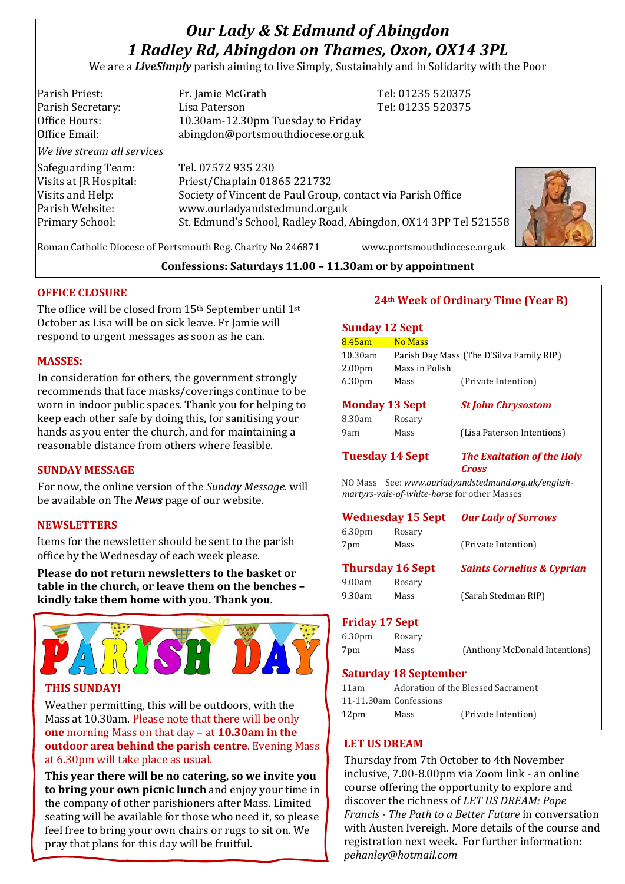# *Our Lady & St Edmund of Abingdon 1 Radley Rd, Abingdon on Thames, Oxon, OX14 3PL*

We are a *LiveSimply* parish aiming to live Simply, Sustainably and in Solidarity with the Poor

| Parish Priest:              | Fr. Jamie McGrath                                               | Tel: 01235 520375 |  |
|-----------------------------|-----------------------------------------------------------------|-------------------|--|
| Parish Secretary:           | Lisa Paterson                                                   | Tel: 01235 520375 |  |
| Office Hours:               | 10.30am-12.30pm Tuesday to Friday                               |                   |  |
| Office Email:               | abingdon@portsmouthdiocese.org.uk                               |                   |  |
| We live stream all services |                                                                 |                   |  |
| Safeguarding Team:          | Tel. 07572 935 230                                              |                   |  |
| Visits at JR Hospital:      | Priest/Chaplain 01865 221732                                    |                   |  |
| Visits and Help:            | Society of Vincent de Paul Group, contact via Parish Office     |                   |  |
| Parish Website:             | www.ourladyandstedmund.org.uk                                   |                   |  |
| Primary School:             | St. Edmund's School, Radley Road, Abingdon, OX14 3PP Tel 521558 |                   |  |
|                             |                                                                 |                   |  |

Roman Catholic Diocese of Portsmouth Reg. Charity No 246871 www.portsmouthdiocese.org.uk

# **Confessions: Saturdays 11.00 – 11.30am or by appointment**

# **OFFICE CLOSURE**

The office will be closed from 15th September until 1st October as Lisa will be on sick leave. Fr Jamie will respond to urgent messages as soon as he can.

#### **MASSES:**

In consideration for others, the government strongly recommends that face masks/coverings continue to be worn in indoor public spaces. Thank you for helping to keep each other safe by doing this, for sanitising your hands as you enter the church, and for maintaining a reasonable distance from others where feasible.

# **SUNDAY MESSAGE**

For now, the online version of the *Sunday Message*. will be available on The *News* page of our website.

# **NEWSLETTERS**

Items for the newsletter should be sent to the parish office by the Wednesday of each week please.

**Please do not return newsletters to the basket or table in the church, or leave them on the benches – kindly take them home with you. Thank you.**



# **THIS SUNDAY!**

Weather permitting, this will be outdoors, with the Mass at 10.30am. Please note that there will be only **one** morning Mass on that day – at **10.30am in the outdoor area behind the parish centre**. Evening Mass at 6.30pm will take place as usual.

**This year there will be no catering, so we invite you to bring your own picnic lunch** and enjoy your time in the company of other parishioners after Mass. Limited seating will be available for those who need it, so please feel free to bring your own chairs or rugs to sit on. We pray that plans for this day will be fruitful.

# **24th Week of Ordinary Time (Year B)**

# **Sunday 12 Sept** 8.45am No Mass 10.30am Parish Day Mass (The D'Silva Family RIP) 2.00pm Mass in Polish 6.30pm Mass (Private Intention) **Monday 13 Sept** *St John Chrysostom* 8.30am Rosary 9am Mass (Lisa Paterson Intentions) **Tuesday 14 Sept** *The Exaltation of the Holy Cross* NO Mass See: *www.ourladyandstedmund.org.uk/englishmartyrs-vale-of-white-horse* for other Masses **Wednesday 15 Sept** *Our Lady of Sorrows* 6.30pm Rosary 7pm Mass (Private Intention) **Thursday 16 Sept** *Saints Cornelius & Cyprian* 9.00am Rosary 9.30am Mass (Sarah Stedman RIP) **Friday 17 Sept**  6.30pm Rosary

7pm Mass (Anthony McDonald Intentions)

**Saturday 18 September** 

| 11am |                        | Adoration of the Blessed Sacrament |
|------|------------------------|------------------------------------|
|      | 11-11.30am Confessions |                                    |
| 12pm | Mass                   | (Private Intention)                |

# **LET US DREAM**

Thursday from 7th October to 4th November inclusive, 7.00-8.00pm via Zoom link - an online course offering the opportunity to explore and discover the richness of *LET US DREAM: Pope Francis - The Path to a Better Future* in conversation with Austen Ivereigh. More details of the course and registration next week. For further information: *pehanley@hotmail.com*